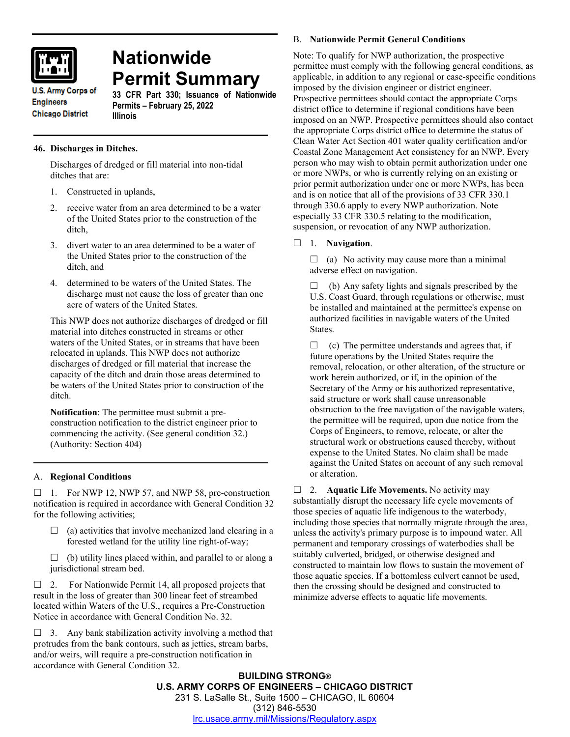

# **Nationwide Permit Summary**

**U.S. Army Corps of Engineers Chicago District** 

#### **33 CFR Part 330; Issuance of Nationwide Permits – February 25, 2022 Illinois**

## **46. Discharges in Ditches.**

Discharges of dredged or fill material into non-tidal ditches that are:

- 1. Constructed in uplands,
- 2. receive water from an area determined to be a water of the United States prior to the construction of the ditch,
- 3. divert water to an area determined to be a water of the United States prior to the construction of the ditch, and
- 4. determined to be waters of the United States. The discharge must not cause the loss of greater than one acre of waters of the United States.

This NWP does not authorize discharges of dredged or fill material into ditches constructed in streams or other waters of the United States, or in streams that have been relocated in uplands. This NWP does not authorize discharges of dredged or fill material that increase the capacity of the ditch and drain those areas determined to be waters of the United States prior to construction of the ditch.

**Notification**: The permittee must submit a preconstruction notification to the district engineer prior to commencing the activity. (See general condition 32.) (Authority: Section 404)

## A. **Regional Conditions**

 $\Box$  1. For NWP 12, NWP 57, and NWP 58, pre-construction notification is required in accordance with General Condition 32 for the following activities;

- $\Box$  (a) activities that involve mechanized land clearing in a forested wetland for the utility line right-of-way;
- $\Box$  (b) utility lines placed within, and parallel to or along a jurisdictional stream bed.

 $\Box$  2. For Nationwide Permit 14, all proposed projects that result in the loss of greater than 300 linear feet of streambed located within Waters of the U.S., requires a Pre-Construction Notice in accordance with General Condition No. 32.

 $\Box$  3. Any bank stabilization activity involving a method that protrudes from the bank contours, such as jetties, stream barbs, and/or weirs, will require a pre-construction notification in accordance with General Condition 32.

## B. **Nationwide Permit General Conditions**

Note: To qualify for NWP authorization, the prospective permittee must comply with the following general conditions, as applicable, in addition to any regional or case-specific conditions imposed by the division engineer or district engineer. Prospective permittees should contact the appropriate Corps district office to determine if regional conditions have been imposed on an NWP. Prospective permittees should also contact the appropriate Corps district office to determine the status of Clean Water Act Section 401 water quality certification and/or Coastal Zone Management Act consistency for an NWP. Every person who may wish to obtain permit authorization under one or more NWPs, or who is currently relying on an existing or prior permit authorization under one or more NWPs, has been and is on notice that all of the provisions of 33 CFR 330.1 through 330.6 apply to every NWP authorization. Note especially 33 CFR 330.5 relating to the modification, suspension, or revocation of any NWP authorization.

## 1. **Navigation**.

 $\Box$  (a) No activity may cause more than a minimal adverse effect on navigation.

 $\Box$  (b) Any safety lights and signals prescribed by the U.S. Coast Guard, through regulations or otherwise, must be installed and maintained at the permittee's expense on authorized facilities in navigable waters of the United States.

 $\Box$  (c) The permittee understands and agrees that, if future operations by the United States require the removal, relocation, or other alteration, of the structure or work herein authorized, or if, in the opinion of the Secretary of the Army or his authorized representative, said structure or work shall cause unreasonable obstruction to the free navigation of the navigable waters, the permittee will be required, upon due notice from the Corps of Engineers, to remove, relocate, or alter the structural work or obstructions caused thereby, without expense to the United States. No claim shall be made against the United States on account of any such removal or alteration.

□ 2. **Aquatic Life Movements.** No activity may substantially disrupt the necessary life cycle movements of those species of aquatic life indigenous to the waterbody, including those species that normally migrate through the area, unless the activity's primary purpose is to impound water. All permanent and temporary crossings of waterbodies shall be suitably culverted, bridged, or otherwise designed and constructed to maintain low flows to sustain the movement of those aquatic species. If a bottomless culvert cannot be used, then the crossing should be designed and constructed to minimize adverse effects to aquatic life movements.

**BUILDING STRONG® U.S. ARMY CORPS OF ENGINEERS – CHICAGO DISTRICT** 231 S. LaSalle St., Suite 1500 – CHICAGO, IL 60604 (312) 846-5530 [lrc.usace.army.mil/Missions/Regulatory.aspx](https://www.lrc.usace.army.mil/Missions/Regulatory.aspx)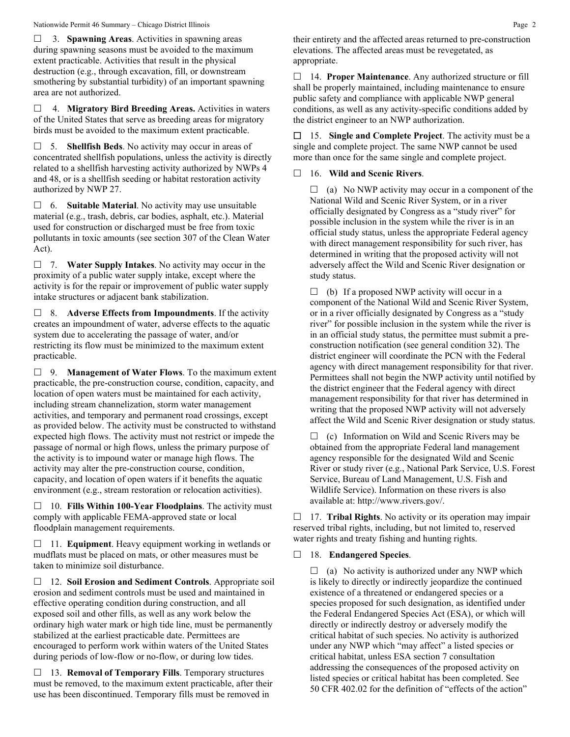#### Nationwide Permit 46 Summary – Chicago District Illinois **Page 2** Page 2

 3. **Spawning Areas**. Activities in spawning areas during spawning seasons must be avoided to the maximum extent practicable. Activities that result in the physical destruction (e.g., through excavation, fill, or downstream smothering by substantial turbidity) of an important spawning area are not authorized.

 4. **Migratory Bird Breeding Areas.** Activities in waters of the United States that serve as breeding areas for migratory birds must be avoided to the maximum extent practicable.

 5. **Shellfish Beds**. No activity may occur in areas of concentrated shellfish populations, unless the activity is directly related to a shellfish harvesting activity authorized by NWPs 4 and 48, or is a shellfish seeding or habitat restoration activity authorized by NWP 27.

 6. **Suitable Material**. No activity may use unsuitable material (e.g., trash, debris, car bodies, asphalt, etc.). Material used for construction or discharged must be free from toxic pollutants in toxic amounts (see section 307 of the Clean Water Act).

 7. **Water Supply Intakes**. No activity may occur in the proximity of a public water supply intake, except where the activity is for the repair or improvement of public water supply intake structures or adjacent bank stabilization.

 8. **Adverse Effects from Impoundments**. If the activity creates an impoundment of water, adverse effects to the aquatic system due to accelerating the passage of water, and/or restricting its flow must be minimized to the maximum extent practicable.

 9. **Management of Water Flows**. To the maximum extent practicable, the pre-construction course, condition, capacity, and location of open waters must be maintained for each activity, including stream channelization, storm water management activities, and temporary and permanent road crossings, except as provided below. The activity must be constructed to withstand expected high flows. The activity must not restrict or impede the passage of normal or high flows, unless the primary purpose of the activity is to impound water or manage high flows. The activity may alter the pre-construction course, condition, capacity, and location of open waters if it benefits the aquatic environment (e.g., stream restoration or relocation activities).

 10. **Fills Within 100-Year Floodplains**. The activity must comply with applicable FEMA-approved state or local floodplain management requirements.

□ 11. **Equipment**. Heavy equipment working in wetlands or mudflats must be placed on mats, or other measures must be taken to minimize soil disturbance.

 12. **Soil Erosion and Sediment Controls**. Appropriate soil erosion and sediment controls must be used and maintained in effective operating condition during construction, and all exposed soil and other fills, as well as any work below the ordinary high water mark or high tide line, must be permanently stabilized at the earliest practicable date. Permittees are encouraged to perform work within waters of the United States during periods of low-flow or no-flow, or during low tides.

 13. **Removal of Temporary Fills**. Temporary structures must be removed, to the maximum extent practicable, after their use has been discontinued. Temporary fills must be removed in

their entirety and the affected areas returned to pre-construction elevations. The affected areas must be revegetated, as appropriate.

 14. **Proper Maintenance**. Any authorized structure or fill shall be properly maintained, including maintenance to ensure public safety and compliance with applicable NWP general conditions, as well as any activity-specific conditions added by the district engineer to an NWP authorization.

 15. **Single and Complete Project**. The activity must be a single and complete project. The same NWP cannot be used more than once for the same single and complete project.

## 16. **Wild and Scenic Rivers**.

 $\Box$  (a) No NWP activity may occur in a component of the National Wild and Scenic River System, or in a river officially designated by Congress as a "study river" for possible inclusion in the system while the river is in an official study status, unless the appropriate Federal agency with direct management responsibility for such river, has determined in writing that the proposed activity will not adversely affect the Wild and Scenic River designation or study status.

 $\Box$  (b) If a proposed NWP activity will occur in a component of the National Wild and Scenic River System, or in a river officially designated by Congress as a "study river" for possible inclusion in the system while the river is in an official study status, the permittee must submit a preconstruction notification (see general condition 32). The district engineer will coordinate the PCN with the Federal agency with direct management responsibility for that river. Permittees shall not begin the NWP activity until notified by the district engineer that the Federal agency with direct management responsibility for that river has determined in writing that the proposed NWP activity will not adversely affect the Wild and Scenic River designation or study status.

 $\Box$  (c) Information on Wild and Scenic Rivers may be obtained from the appropriate Federal land management agency responsible for the designated Wild and Scenic River or study river (e.g., National Park Service, U.S. Forest Service, Bureau of Land Management, U.S. Fish and Wildlife Service). Information on these rivers is also available at: http://www.rivers.gov/.

 17. **Tribal Rights**. No activity or its operation may impair reserved tribal rights, including, but not limited to, reserved water rights and treaty fishing and hunting rights.

#### 18. **Endangered Species**.

 $\Box$  (a) No activity is authorized under any NWP which is likely to directly or indirectly jeopardize the continued existence of a threatened or endangered species or a species proposed for such designation, as identified under the Federal Endangered Species Act (ESA), or which will directly or indirectly destroy or adversely modify the critical habitat of such species. No activity is authorized under any NWP which "may affect" a listed species or critical habitat, unless ESA section 7 consultation addressing the consequences of the proposed activity on listed species or critical habitat has been completed. See 50 CFR 402.02 for the definition of "effects of the action"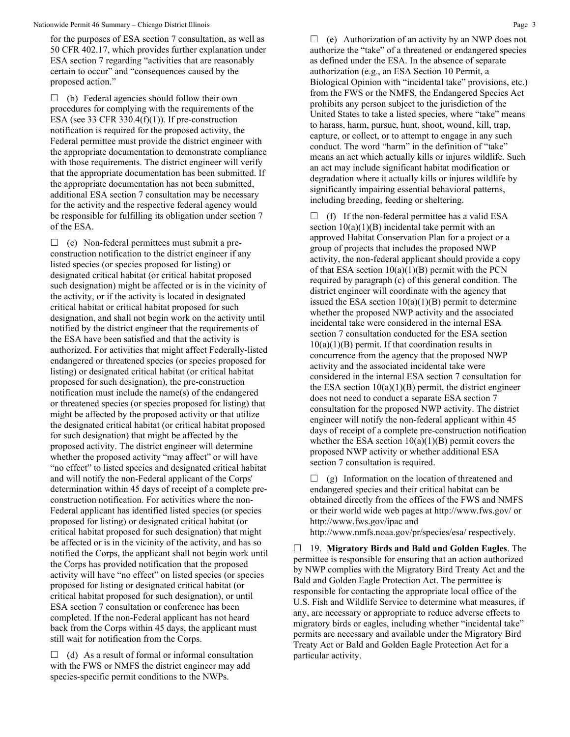for the purposes of ESA section 7 consultation, as well as 50 CFR 402.17, which provides further explanation under ESA section 7 regarding "activities that are reasonably certain to occur" and "consequences caused by the proposed action."

 $\Box$  (b) Federal agencies should follow their own procedures for complying with the requirements of the ESA (see 33 CFR 330.4 $(f)(1)$ ). If pre-construction notification is required for the proposed activity, the Federal permittee must provide the district engineer with the appropriate documentation to demonstrate compliance with those requirements. The district engineer will verify that the appropriate documentation has been submitted. If the appropriate documentation has not been submitted, additional ESA section 7 consultation may be necessary for the activity and the respective federal agency would be responsible for fulfilling its obligation under section 7 of the ESA.

 $\Box$  (c) Non-federal permittees must submit a preconstruction notification to the district engineer if any listed species (or species proposed for listing) or designated critical habitat (or critical habitat proposed such designation) might be affected or is in the vicinity of the activity, or if the activity is located in designated critical habitat or critical habitat proposed for such designation, and shall not begin work on the activity until notified by the district engineer that the requirements of the ESA have been satisfied and that the activity is authorized. For activities that might affect Federally-listed endangered or threatened species (or species proposed for listing) or designated critical habitat (or critical habitat proposed for such designation), the pre-construction notification must include the name(s) of the endangered or threatened species (or species proposed for listing) that might be affected by the proposed activity or that utilize the designated critical habitat (or critical habitat proposed for such designation) that might be affected by the proposed activity. The district engineer will determine whether the proposed activity "may affect" or will have "no effect" to listed species and designated critical habitat and will notify the non-Federal applicant of the Corps' determination within 45 days of receipt of a complete preconstruction notification. For activities where the non-Federal applicant has identified listed species (or species proposed for listing) or designated critical habitat (or critical habitat proposed for such designation) that might be affected or is in the vicinity of the activity, and has so notified the Corps, the applicant shall not begin work until the Corps has provided notification that the proposed activity will have "no effect" on listed species (or species proposed for listing or designated critical habitat (or critical habitat proposed for such designation), or until ESA section 7 consultation or conference has been completed. If the non-Federal applicant has not heard back from the Corps within 45 days, the applicant must still wait for notification from the Corps.

 $\Box$  (d) As a result of formal or informal consultation with the FWS or NMFS the district engineer may add species-specific permit conditions to the NWPs.

 $\Box$  (e) Authorization of an activity by an NWP does not authorize the "take" of a threatened or endangered species as defined under the ESA. In the absence of separate authorization (e.g., an ESA Section 10 Permit, a Biological Opinion with "incidental take" provisions, etc.) from the FWS or the NMFS, the Endangered Species Act prohibits any person subject to the jurisdiction of the United States to take a listed species, where "take" means to harass, harm, pursue, hunt, shoot, wound, kill, trap, capture, or collect, or to attempt to engage in any such conduct. The word "harm" in the definition of "take" means an act which actually kills or injures wildlife. Such an act may include significant habitat modification or degradation where it actually kills or injures wildlife by significantly impairing essential behavioral patterns, including breeding, feeding or sheltering.

 $\Box$  (f) If the non-federal permittee has a valid ESA section  $10(a)(1)(B)$  incidental take permit with an approved Habitat Conservation Plan for a project or a group of projects that includes the proposed NWP activity, the non-federal applicant should provide a copy of that ESA section  $10(a)(1)(B)$  permit with the PCN required by paragraph (c) of this general condition. The district engineer will coordinate with the agency that issued the ESA section  $10(a)(1)(B)$  permit to determine whether the proposed NWP activity and the associated incidental take were considered in the internal ESA section 7 consultation conducted for the ESA section  $10(a)(1)(B)$  permit. If that coordination results in concurrence from the agency that the proposed NWP activity and the associated incidental take were considered in the internal ESA section 7 consultation for the ESA section  $10(a)(1)(B)$  permit, the district engineer does not need to conduct a separate ESA section 7 consultation for the proposed NWP activity. The district engineer will notify the non-federal applicant within 45 days of receipt of a complete pre-construction notification whether the ESA section  $10(a)(1)(B)$  permit covers the proposed NWP activity or whether additional ESA section 7 consultation is required.

 $\Box$  (g) Information on the location of threatened and endangered species and their critical habitat can be obtained directly from the offices of the FWS and NMFS or their world wide web pages at http://www.fws.gov/ or http://www.fws.gov/ipac and

http://www.nmfs.noaa.gov/pr/species/esa/ respectively.

 19. **Migratory Birds and Bald and Golden Eagles**. The permittee is responsible for ensuring that an action authorized by NWP complies with the Migratory Bird Treaty Act and the Bald and Golden Eagle Protection Act. The permittee is responsible for contacting the appropriate local office of the U.S. Fish and Wildlife Service to determine what measures, if any, are necessary or appropriate to reduce adverse effects to migratory birds or eagles, including whether "incidental take" permits are necessary and available under the Migratory Bird Treaty Act or Bald and Golden Eagle Protection Act for a particular activity.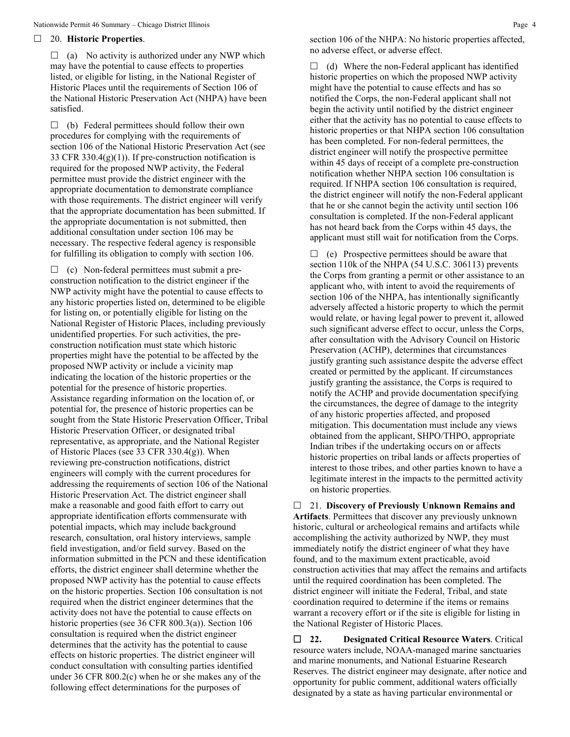#### 20. **Historic Properties**.

 $\Box$  (a) No activity is authorized under any NWP which may have the potential to cause effects to properties listed, or eligible for listing, in the National Register of Historic Places until the requirements of Section 106 of the National Historic Preservation Act (NHPA) have been satisfied.

 $\Box$  (b) Federal permittees should follow their own procedures for complying with the requirements of section 106 of the National Historic Preservation Act (see 33 CFR 330.4(g)(1)). If pre-construction notification is required for the proposed NWP activity, the Federal permittee must provide the district engineer with the appropriate documentation to demonstrate compliance with those requirements. The district engineer will verify that the appropriate documentation has been submitted. If the appropriate documentation is not submitted, then additional consultation under section 106 may be necessary. The respective federal agency is responsible for fulfilling its obligation to comply with section 106.

 $\Box$  (c) Non-federal permittees must submit a preconstruction notification to the district engineer if the NWP activity might have the potential to cause effects to any historic properties listed on, determined to be eligible for listing on, or potentially eligible for listing on the National Register of Historic Places, including previously unidentified properties. For such activities, the preconstruction notification must state which historic properties might have the potential to be affected by the proposed NWP activity or include a vicinity map indicating the location of the historic properties or the potential for the presence of historic properties. Assistance regarding information on the location of, or potential for, the presence of historic properties can be sought from the State Historic Preservation Officer, Tribal Historic Preservation Officer, or designated tribal representative, as appropriate, and the National Register of Historic Places (see 33 CFR 330.4(g)). When reviewing pre-construction notifications, district engineers will comply with the current procedures for addressing the requirements of section 106 of the National Historic Preservation Act. The district engineer shall make a reasonable and good faith effort to carry out appropriate identification efforts commensurate with potential impacts, which may include background research, consultation, oral history interviews, sample field investigation, and/or field survey. Based on the information submitted in the PCN and these identification efforts, the district engineer shall determine whether the proposed NWP activity has the potential to cause effects on the historic properties. Section 106 consultation is not required when the district engineer determines that the activity does not have the potential to cause effects on historic properties (see 36 CFR 800.3(a)). Section 106 consultation is required when the district engineer determines that the activity has the potential to cause effects on historic properties. The district engineer will conduct consultation with consulting parties identified under 36 CFR 800.2(c) when he or she makes any of the following effect determinations for the purposes of

section 106 of the NHPA: No historic properties affected, no adverse effect, or adverse effect.

 $\Box$  (d) Where the non-Federal applicant has identified historic properties on which the proposed NWP activity might have the potential to cause effects and has so notified the Corps, the non-Federal applicant shall not begin the activity until notified by the district engineer either that the activity has no potential to cause effects to historic properties or that NHPA section 106 consultation has been completed. For non-federal permittees, the district engineer will notify the prospective permittee within 45 days of receipt of a complete pre-construction notification whether NHPA section 106 consultation is required. If NHPA section 106 consultation is required, the district engineer will notify the non-Federal applicant that he or she cannot begin the activity until section 106 consultation is completed. If the non-Federal applicant has not heard back from the Corps within 45 days, the applicant must still wait for notification from the Corps.

 $\Box$  (e) Prospective permittees should be aware that section 110k of the NHPA (54 U.S.C. 306113) prevents the Corps from granting a permit or other assistance to an applicant who, with intent to avoid the requirements of section 106 of the NHPA, has intentionally significantly adversely affected a historic property to which the permit would relate, or having legal power to prevent it, allowed such significant adverse effect to occur, unless the Corps, after consultation with the Advisory Council on Historic Preservation (ACHP), determines that circumstances justify granting such assistance despite the adverse effect created or permitted by the applicant. If circumstances justify granting the assistance, the Corps is required to notify the ACHP and provide documentation specifying the circumstances, the degree of damage to the integrity of any historic properties affected, and proposed mitigation. This documentation must include any views obtained from the applicant, SHPO/THPO, appropriate Indian tribes if the undertaking occurs on or affects historic properties on tribal lands or affects properties of interest to those tribes, and other parties known to have a legitimate interest in the impacts to the permitted activity on historic properties.

 21. **Discovery of Previously Unknown Remains and Artifacts**. Permittees that discover any previously unknown historic, cultural or archeological remains and artifacts while accomplishing the activity authorized by NWP, they must immediately notify the district engineer of what they have found, and to the maximum extent practicable, avoid construction activities that may affect the remains and artifacts until the required coordination has been completed. The district engineer will initiate the Federal, Tribal, and state coordination required to determine if the items or remains warrant a recovery effort or if the site is eligible for listing in the National Register of Historic Places.

 **22. Designated Critical Resource Waters**. Critical resource waters include, NOAA-managed marine sanctuaries and marine monuments, and National Estuarine Research Reserves. The district engineer may designate, after notice and opportunity for public comment, additional waters officially designated by a state as having particular environmental or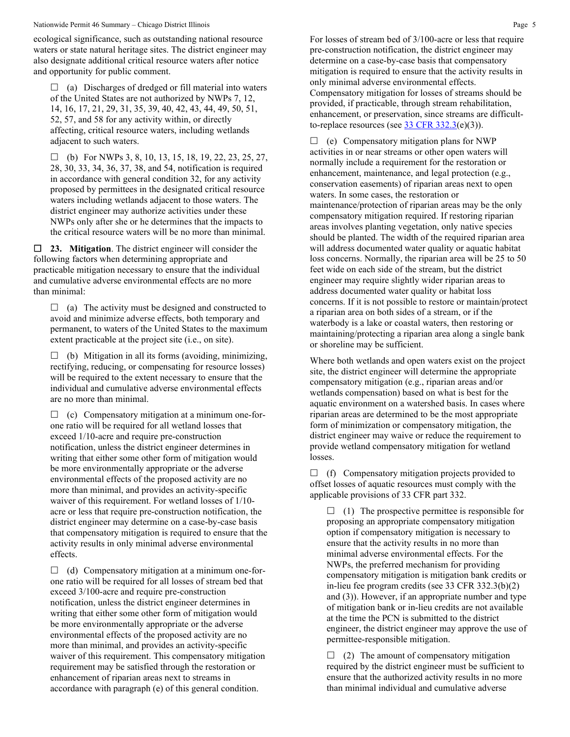#### Nationwide Permit 46 Summary – Chicago District Illinois Page 5

ecological significance, such as outstanding national resource waters or state natural heritage sites. The district engineer may also designate additional critical resource waters after notice and opportunity for public comment.

 $\Box$  (a) Discharges of dredged or fill material into waters of the United States are not authorized by NWPs 7, 12, 14, 16, 17, 21, 29, 31, 35, 39, 40, 42, 43, 44, 49, 50, 51, 52, 57, and 58 for any activity within, or directly affecting, critical resource waters, including wetlands adjacent to such waters.

 $\Box$  (b) For NWPs 3, 8, 10, 13, 15, 18, 19, 22, 23, 25, 27, 28, 30, 33, 34, 36, 37, 38, and 54, notification is required in accordance with general condition 32, for any activity proposed by permittees in the designated critical resource waters including wetlands adjacent to those waters. The district engineer may authorize activities under these NWPs only after she or he determines that the impacts to the critical resource waters will be no more than minimal.

 **23. Mitigation**. The district engineer will consider the following factors when determining appropriate and practicable mitigation necessary to ensure that the individual and cumulative adverse environmental effects are no more than minimal:

 $\Box$  (a) The activity must be designed and constructed to avoid and minimize adverse effects, both temporary and permanent, to waters of the United States to the maximum extent practicable at the project site (i.e., on site).

 $\Box$  (b) Mitigation in all its forms (avoiding, minimizing, rectifying, reducing, or compensating for resource losses) will be required to the extent necessary to ensure that the individual and cumulative adverse environmental effects are no more than minimal.

 $\Box$  (c) Compensatory mitigation at a minimum one-forone ratio will be required for all wetland losses that exceed 1/10-acre and require pre-construction notification, unless the district engineer determines in writing that either some other form of mitigation would be more environmentally appropriate or the adverse environmental effects of the proposed activity are no more than minimal, and provides an activity-specific waiver of this requirement. For wetland losses of 1/10 acre or less that require pre-construction notification, the district engineer may determine on a case-by-case basis that compensatory mitigation is required to ensure that the activity results in only minimal adverse environmental effects.

 $\Box$  (d) Compensatory mitigation at a minimum one-forone ratio will be required for all losses of stream bed that exceed 3/100-acre and require pre-construction notification, unless the district engineer determines in writing that either some other form of mitigation would be more environmentally appropriate or the adverse environmental effects of the proposed activity are no more than minimal, and provides an activity-specific waiver of this requirement. This compensatory mitigation requirement may be satisfied through the restoration or enhancement of riparian areas next to streams in accordance with paragraph (e) of this general condition.

For losses of stream bed of 3/100-acre or less that require pre-construction notification, the district engineer may determine on a case-by-case basis that compensatory mitigation is required to ensure that the activity results in only minimal adverse environmental effects. Compensatory mitigation for losses of streams should be provided, if practicable, through stream rehabilitation, enhancement, or preservation, since streams are difficultto-replace resources (see  $33$  CFR  $332.3(e)(3)$ ).

 $\Box$  (e) Compensatory mitigation plans for NWP activities in or near streams or other open waters will normally include a requirement for the restoration or enhancement, maintenance, and legal protection (e.g., conservation easements) of riparian areas next to open waters. In some cases, the restoration or maintenance/protection of riparian areas may be the only compensatory mitigation required. If restoring riparian areas involves planting vegetation, only native species should be planted. The width of the required riparian area will address documented water quality or aquatic habitat loss concerns. Normally, the riparian area will be 25 to 50 feet wide on each side of the stream, but the district engineer may require slightly wider riparian areas to address documented water quality or habitat loss concerns. If it is not possible to restore or maintain/protect a riparian area on both sides of a stream, or if the waterbody is a lake or coastal waters, then restoring or maintaining/protecting a riparian area along a single bank or shoreline may be sufficient.

Where both wetlands and open waters exist on the project site, the district engineer will determine the appropriate compensatory mitigation (e.g., riparian areas and/or wetlands compensation) based on what is best for the aquatic environment on a watershed basis. In cases where riparian areas are determined to be the most appropriate form of minimization or compensatory mitigation, the district engineer may waive or reduce the requirement to provide wetland compensatory mitigation for wetland losses.

 $\Box$  (f) Compensatory mitigation projects provided to offset losses of aquatic resources must comply with the applicable provisions of 33 CFR part 332.

 $\Box$  (1) The prospective permittee is responsible for proposing an appropriate compensatory mitigation option if compensatory mitigation is necessary to ensure that the activity results in no more than minimal adverse environmental effects. For the NWPs, the preferred mechanism for providing compensatory mitigation is mitigation bank credits or in-lieu fee program credits (see 33 CFR 332.3(b)(2) and (3)). However, if an appropriate number and type of mitigation bank or in-lieu credits are not available at the time the PCN is submitted to the district engineer, the district engineer may approve the use of permittee-responsible mitigation.

 $\Box$  (2) The amount of compensatory mitigation required by the district engineer must be sufficient to ensure that the authorized activity results in no more than minimal individual and cumulative adverse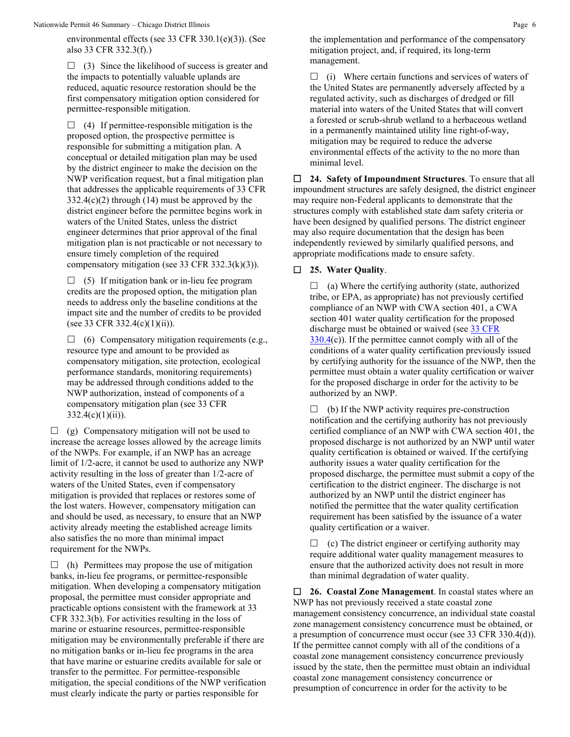Nationwide Permit 46 Summary – Chicago District Illinois **Page 6** Alexander 2012 12:30 Page 6 Page 6 Page 6 Page 6 Page 6 Page 6 Page 6 Page 6 Page 6 Page 6 Page 6 Page 6 Page 7 Page 6 Page 7 Page 7 Page 7 Page 7 Page 7 Pa

environmental effects (see 33 CFR 330.1(e)(3)). (See also 33 CFR 332.3(f).)

 $\Box$  (3) Since the likelihood of success is greater and the impacts to potentially valuable uplands are reduced, aquatic resource restoration should be the first compensatory mitigation option considered for permittee-responsible mitigation.

 $\Box$  (4) If permittee-responsible mitigation is the proposed option, the prospective permittee is responsible for submitting a mitigation plan. A conceptual or detailed mitigation plan may be used by the district engineer to make the decision on the NWP verification request, but a final mitigation plan that addresses the applicable requirements of 33 CFR 332.4(c)(2) through (14) must be approved by the district engineer before the permittee begins work in waters of the United States, unless the district engineer determines that prior approval of the final mitigation plan is not practicable or not necessary to ensure timely completion of the required compensatory mitigation (see 33 CFR 332.3(k)(3)).

 $\Box$  (5) If mitigation bank or in-lieu fee program credits are the proposed option, the mitigation plan needs to address only the baseline conditions at the impact site and the number of credits to be provided (see 33 CFR 332.4(c)(1)(ii)).

 $\Box$  (6) Compensatory mitigation requirements (e.g., resource type and amount to be provided as compensatory mitigation, site protection, ecological performance standards, monitoring requirements) may be addressed through conditions added to the NWP authorization, instead of components of a compensatory mitigation plan (see 33 CFR  $332.4(c)(1)(ii)$ ).

 $\Box$  (g) Compensatory mitigation will not be used to increase the acreage losses allowed by the acreage limits of the NWPs. For example, if an NWP has an acreage limit of 1/2-acre, it cannot be used to authorize any NWP activity resulting in the loss of greater than 1/2-acre of waters of the United States, even if compensatory mitigation is provided that replaces or restores some of the lost waters. However, compensatory mitigation can and should be used, as necessary, to ensure that an NWP activity already meeting the established acreage limits also satisfies the no more than minimal impact requirement for the NWPs.

 $\Box$  (h) Permittees may propose the use of mitigation banks, in-lieu fee programs, or permittee-responsible mitigation. When developing a compensatory mitigation proposal, the permittee must consider appropriate and practicable options consistent with the framework at 33 CFR 332.3(b). For activities resulting in the loss of marine or estuarine resources, permittee-responsible mitigation may be environmentally preferable if there are no mitigation banks or in-lieu fee programs in the area that have marine or estuarine credits available for sale or transfer to the permittee. For permittee-responsible mitigation, the special conditions of the NWP verification must clearly indicate the party or parties responsible for

the implementation and performance of the compensatory mitigation project, and, if required, its long-term management.

 $\Box$  (i) Where certain functions and services of waters of the United States are permanently adversely affected by a regulated activity, such as discharges of dredged or fill material into waters of the United States that will convert a forested or scrub-shrub wetland to a herbaceous wetland in a permanently maintained utility line right-of-way, mitigation may be required to reduce the adverse environmental effects of the activity to the no more than minimal level.

 **24. Safety of Impoundment Structures**. To ensure that all impoundment structures are safely designed, the district engineer may require non-Federal applicants to demonstrate that the structures comply with established state dam safety criteria or have been designed by qualified persons. The district engineer may also require documentation that the design has been independently reviewed by similarly qualified persons, and appropriate modifications made to ensure safety.

## **25. Water Quality**.

 $\Box$  (a) Where the certifying authority (state, authorized tribe, or EPA, as appropriate) has not previously certified compliance of an NWP with CWA section 401, a CWA section 401 water quality certification for the proposed discharge must be obtained or waived (see [33 CFR](https://www.federalregister.gov/select-citation/2021/01/13/33-CFR-330.4)   $330.4(c)$  $330.4(c)$ ). If the permittee cannot comply with all of the conditions of a water quality certification previously issued by certifying authority for the issuance of the NWP, then the permittee must obtain a water quality certification or waiver for the proposed discharge in order for the activity to be authorized by an NWP.

 $\Box$  (b) If the NWP activity requires pre-construction notification and the certifying authority has not previously certified compliance of an NWP with CWA section 401, the proposed discharge is not authorized by an NWP until water quality certification is obtained or waived. If the certifying authority issues a water quality certification for the proposed discharge, the permittee must submit a copy of the certification to the district engineer. The discharge is not authorized by an NWP until the district engineer has notified the permittee that the water quality certification requirement has been satisfied by the issuance of a water quality certification or a waiver.

 $\Box$  (c) The district engineer or certifying authority may require additional water quality management measures to ensure that the authorized activity does not result in more than minimal degradation of water quality.

 **26. Coastal Zone Management**. In coastal states where an NWP has not previously received a state coastal zone management consistency concurrence, an individual state coastal zone management consistency concurrence must be obtained, or a presumption of concurrence must occur (see 33 CFR 330.4(d)). If the permittee cannot comply with all of the conditions of a coastal zone management consistency concurrence previously issued by the state, then the permittee must obtain an individual coastal zone management consistency concurrence or presumption of concurrence in order for the activity to be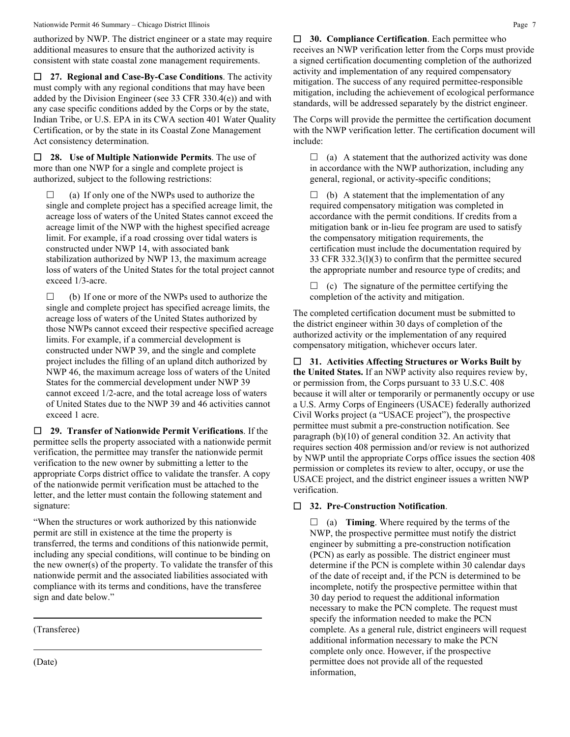Nationwide Permit 46 Summary – Chicago District Illinois **Page 7** Page 7

authorized by NWP. The district engineer or a state may require additional measures to ensure that the authorized activity is consistent with state coastal zone management requirements.

 **27. Regional and Case-By-Case Conditions**. The activity must comply with any regional conditions that may have been added by the Division Engineer (see 33 CFR 330.4(e)) and with any case specific conditions added by the Corps or by the state, Indian Tribe, or U.S. EPA in its CWA section 401 Water Quality Certification, or by the state in its Coastal Zone Management Act consistency determination.

 **28. Use of Multiple Nationwide Permits**. The use of more than one NWP for a single and complete project is authorized, subject to the following restrictions:

 $\Box$  (a) If only one of the NWPs used to authorize the single and complete project has a specified acreage limit, the acreage loss of waters of the United States cannot exceed the acreage limit of the NWP with the highest specified acreage limit. For example, if a road crossing over tidal waters is constructed under NWP 14, with associated bank stabilization authorized by NWP 13, the maximum acreage loss of waters of the United States for the total project cannot exceed 1/3-acre.

 $\Box$  (b) If one or more of the NWPs used to authorize the single and complete project has specified acreage limits, the acreage loss of waters of the United States authorized by those NWPs cannot exceed their respective specified acreage limits. For example, if a commercial development is constructed under NWP 39, and the single and complete project includes the filling of an upland ditch authorized by NWP 46, the maximum acreage loss of waters of the United States for the commercial development under NWP 39 cannot exceed 1/2-acre, and the total acreage loss of waters of United States due to the NWP 39 and 46 activities cannot exceed 1 acre.

 **29. Transfer of Nationwide Permit Verifications**. If the permittee sells the property associated with a nationwide permit verification, the permittee may transfer the nationwide permit verification to the new owner by submitting a letter to the appropriate Corps district office to validate the transfer. A copy of the nationwide permit verification must be attached to the letter, and the letter must contain the following statement and signature:

"When the structures or work authorized by this nationwide permit are still in existence at the time the property is transferred, the terms and conditions of this nationwide permit, including any special conditions, will continue to be binding on the new owner(s) of the property. To validate the transfer of this nationwide permit and the associated liabilities associated with compliance with its terms and conditions, have the transferee sign and date below."

(Transferee)

(Date)

 **30. Compliance Certification**. Each permittee who receives an NWP verification letter from the Corps must provide a signed certification documenting completion of the authorized activity and implementation of any required compensatory mitigation. The success of any required permittee-responsible mitigation, including the achievement of ecological performance standards, will be addressed separately by the district engineer.

The Corps will provide the permittee the certification document with the NWP verification letter. The certification document will include:

 $\Box$  (a) A statement that the authorized activity was done in accordance with the NWP authorization, including any general, regional, or activity-specific conditions;

 $\Box$  (b) A statement that the implementation of any required compensatory mitigation was completed in accordance with the permit conditions. If credits from a mitigation bank or in-lieu fee program are used to satisfy the compensatory mitigation requirements, the certification must include the documentation required by 33 CFR 332.3(l)(3) to confirm that the permittee secured the appropriate number and resource type of credits; and

 $\Box$  (c) The signature of the permittee certifying the completion of the activity and mitigation.

The completed certification document must be submitted to the district engineer within 30 days of completion of the authorized activity or the implementation of any required compensatory mitigation, whichever occurs later.

 **31. Activities Affecting Structures or Works Built by the United States.** If an NWP activity also requires review by, or permission from, the Corps pursuant to 33 U.S.C. 408 because it will alter or temporarily or permanently occupy or use a U.S. Army Corps of Engineers (USACE) federally authorized Civil Works project (a "USACE project"), the prospective permittee must submit a pre-construction notification. See paragraph (b)(10) of general condition 32. An activity that requires section 408 permission and/or review is not authorized by NWP until the appropriate Corps office issues the section 408 permission or completes its review to alter, occupy, or use the USACE project, and the district engineer issues a written NWP verification.

## **32. Pre-Construction Notification**.

 $\Box$  (a) **Timing**. Where required by the terms of the NWP, the prospective permittee must notify the district engineer by submitting a pre-construction notification (PCN) as early as possible. The district engineer must determine if the PCN is complete within 30 calendar days of the date of receipt and, if the PCN is determined to be incomplete, notify the prospective permittee within that 30 day period to request the additional information necessary to make the PCN complete. The request must specify the information needed to make the PCN complete. As a general rule, district engineers will request additional information necessary to make the PCN complete only once. However, if the prospective permittee does not provide all of the requested information,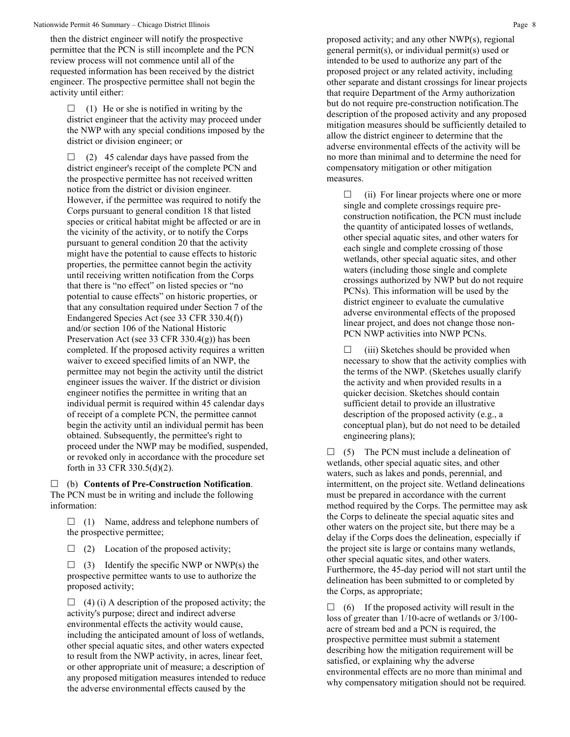Nationwide Permit 46 Summary – Chicago District Illinois **Page 8** 8

then the district engineer will notify the prospective permittee that the PCN is still incomplete and the PCN review process will not commence until all of the requested information has been received by the district engineer. The prospective permittee shall not begin the activity until either:

 $\Box$  (1) He or she is notified in writing by the district engineer that the activity may proceed under the NWP with any special conditions imposed by the district or division engineer; or

 $\Box$  (2) 45 calendar days have passed from the district engineer's receipt of the complete PCN and the prospective permittee has not received written notice from the district or division engineer. However, if the permittee was required to notify the Corps pursuant to general condition 18 that listed species or critical habitat might be affected or are in the vicinity of the activity, or to notify the Corps pursuant to general condition 20 that the activity might have the potential to cause effects to historic properties, the permittee cannot begin the activity until receiving written notification from the Corps that there is "no effect" on listed species or "no potential to cause effects" on historic properties, or that any consultation required under Section 7 of the Endangered Species Act (see 33 CFR 330.4(f)) and/or section 106 of the National Historic Preservation Act (see 33 CFR 330.4(g)) has been completed. If the proposed activity requires a written waiver to exceed specified limits of an NWP, the permittee may not begin the activity until the district engineer issues the waiver. If the district or division engineer notifies the permittee in writing that an individual permit is required within 45 calendar days of receipt of a complete PCN, the permittee cannot begin the activity until an individual permit has been obtained. Subsequently, the permittee's right to proceed under the NWP may be modified, suspended, or revoked only in accordance with the procedure set forth in 33 CFR 330.5(d)(2).

 (b) **Contents of Pre-Construction Notification**. The PCN must be in writing and include the following information:

 $\Box$  (1) Name, address and telephone numbers of the prospective permittee;

 $\Box$  (2) Location of the proposed activity;

 $\Box$  (3) Identify the specific NWP or NWP(s) the prospective permittee wants to use to authorize the proposed activity;

 $\Box$  (4) (i) A description of the proposed activity; the activity's purpose; direct and indirect adverse environmental effects the activity would cause, including the anticipated amount of loss of wetlands, other special aquatic sites, and other waters expected to result from the NWP activity, in acres, linear feet, or other appropriate unit of measure; a description of any proposed mitigation measures intended to reduce the adverse environmental effects caused by the

proposed activity; and any other NWP(s), regional general permit(s), or individual permit(s) used or intended to be used to authorize any part of the proposed project or any related activity, including other separate and distant crossings for linear projects that require Department of the Army authorization but do not require pre-construction notification.The description of the proposed activity and any proposed mitigation measures should be sufficiently detailed to allow the district engineer to determine that the adverse environmental effects of the activity will be no more than minimal and to determine the need for compensatory mitigation or other mitigation measures.

 $\Box$  (ii) For linear projects where one or more single and complete crossings require preconstruction notification, the PCN must include the quantity of anticipated losses of wetlands, other special aquatic sites, and other waters for each single and complete crossing of those wetlands, other special aquatic sites, and other waters (including those single and complete crossings authorized by NWP but do not require PCNs). This information will be used by the district engineer to evaluate the cumulative adverse environmental effects of the proposed linear project, and does not change those non-PCN NWP activities into NWP PCNs.

 $\Box$  (iii) Sketches should be provided when necessary to show that the activity complies with the terms of the NWP. (Sketches usually clarify the activity and when provided results in a quicker decision. Sketches should contain sufficient detail to provide an illustrative description of the proposed activity (e.g., a conceptual plan), but do not need to be detailed engineering plans);

 $\Box$  (5) The PCN must include a delineation of wetlands, other special aquatic sites, and other waters, such as lakes and ponds, perennial, and intermittent, on the project site. Wetland delineations must be prepared in accordance with the current method required by the Corps. The permittee may ask the Corps to delineate the special aquatic sites and other waters on the project site, but there may be a delay if the Corps does the delineation, especially if the project site is large or contains many wetlands, other special aquatic sites, and other waters. Furthermore, the 45-day period will not start until the delineation has been submitted to or completed by the Corps, as appropriate;

 $\Box$  (6) If the proposed activity will result in the loss of greater than 1/10-acre of wetlands or 3/100 acre of stream bed and a PCN is required, the prospective permittee must submit a statement describing how the mitigation requirement will be satisfied, or explaining why the adverse environmental effects are no more than minimal and why compensatory mitigation should not be required.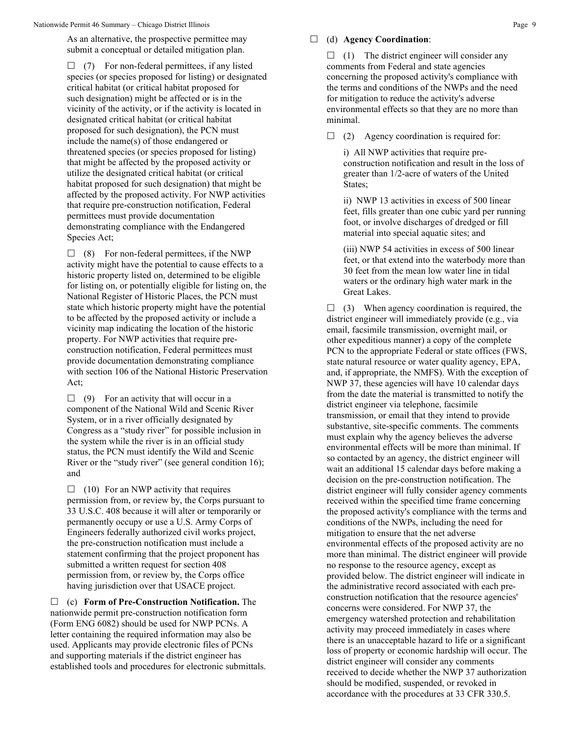As an alternative, the prospective permittee may submit a conceptual or detailed mitigation plan.

 $\Box$  (7) For non-federal permittees, if any listed species (or species proposed for listing) or designated critical habitat (or critical habitat proposed for such designation) might be affected or is in the vicinity of the activity, or if the activity is located in designated critical habitat (or critical habitat proposed for such designation), the PCN must include the name(s) of those endangered or threatened species (or species proposed for listing) that might be affected by the proposed activity or utilize the designated critical habitat (or critical habitat proposed for such designation) that might be affected by the proposed activity. For NWP activities that require pre-construction notification, Federal permittees must provide documentation demonstrating compliance with the Endangered Species Act;

 $\Box$  (8) For non-federal permittees, if the NWP activity might have the potential to cause effects to a historic property listed on, determined to be eligible for listing on, or potentially eligible for listing on, the National Register of Historic Places, the PCN must state which historic property might have the potential to be affected by the proposed activity or include a vicinity map indicating the location of the historic property. For NWP activities that require preconstruction notification, Federal permittees must provide documentation demonstrating compliance with section 106 of the National Historic Preservation Act;

 $\Box$  (9) For an activity that will occur in a component of the National Wild and Scenic River System, or in a river officially designated by Congress as a "study river" for possible inclusion in the system while the river is in an official study status, the PCN must identify the Wild and Scenic River or the "study river" (see general condition 16); and

 $\Box$  (10) For an NWP activity that requires permission from, or review by, the Corps pursuant to 33 U.S.C. 408 because it will alter or temporarily or permanently occupy or use a U.S. Army Corps of Engineers federally authorized civil works project, the pre-construction notification must include a statement confirming that the project proponent has submitted a written request for section 408 permission from, or review by, the Corps office having jurisdiction over that USACE project.

 (c) **Form of Pre-Construction Notification.** The nationwide permit pre-construction notification form (Form ENG 6082) should be used for NWP PCNs. A letter containing the required information may also be used. Applicants may provide electronic files of PCNs and supporting materials if the district engineer has established tools and procedures for electronic submittals.

#### (d) **Agency Coordination**:

 $\Box$  (1) The district engineer will consider any comments from Federal and state agencies concerning the proposed activity's compliance with the terms and conditions of the NWPs and the need for mitigation to reduce the activity's adverse environmental effects so that they are no more than minimal.

 $\Box$  (2) Agency coordination is required for:

i) All NWP activities that require preconstruction notification and result in the loss of greater than 1/2-acre of waters of the United States;

ii) NWP 13 activities in excess of 500 linear feet, fills greater than one cubic yard per running foot, or involve discharges of dredged or fill material into special aquatic sites; and

(iii) NWP 54 activities in excess of 500 linear feet, or that extend into the waterbody more than 30 feet from the mean low water line in tidal waters or the ordinary high water mark in the Great Lakes.

 $\Box$  (3) When agency coordination is required, the district engineer will immediately provide (e.g., via email, facsimile transmission, overnight mail, or other expeditious manner) a copy of the complete PCN to the appropriate Federal or state offices (FWS, state natural resource or water quality agency, EPA, and, if appropriate, the NMFS). With the exception of NWP 37, these agencies will have 10 calendar days from the date the material is transmitted to notify the district engineer via telephone, facsimile transmission, or email that they intend to provide substantive, site-specific comments. The comments must explain why the agency believes the adverse environmental effects will be more than minimal. If so contacted by an agency, the district engineer will wait an additional 15 calendar days before making a decision on the pre-construction notification. The district engineer will fully consider agency comments received within the specified time frame concerning the proposed activity's compliance with the terms and conditions of the NWPs, including the need for mitigation to ensure that the net adverse environmental effects of the proposed activity are no more than minimal. The district engineer will provide no response to the resource agency, except as provided below. The district engineer will indicate in the administrative record associated with each preconstruction notification that the resource agencies' concerns were considered. For NWP 37, the emergency watershed protection and rehabilitation activity may proceed immediately in cases where there is an unacceptable hazard to life or a significant loss of property or economic hardship will occur. The district engineer will consider any comments received to decide whether the NWP 37 authorization should be modified, suspended, or revoked in accordance with the procedures at 33 CFR 330.5.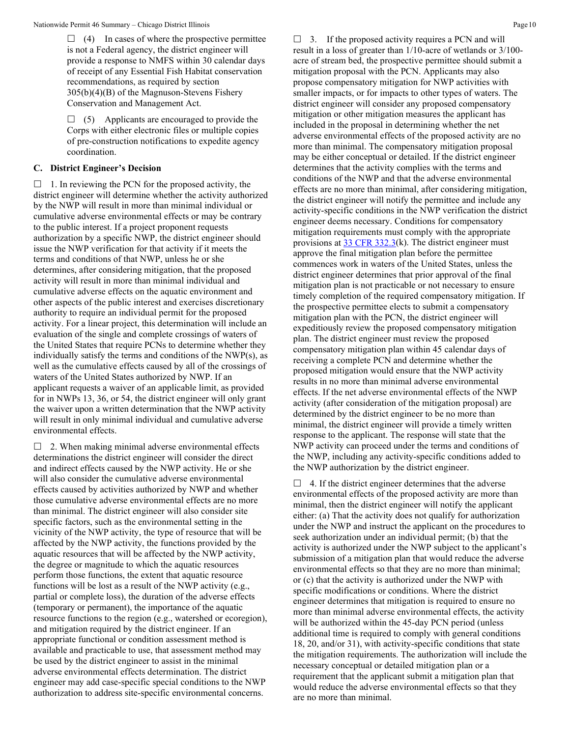$\Box$  (4) In cases of where the prospective permittee is not a Federal agency, the district engineer will provide a response to NMFS within 30 calendar days of receipt of any Essential Fish Habitat conservation recommendations, as required by section 305(b)(4)(B) of the Magnuson-Stevens Fishery Conservation and Management Act.

 $\Box$  (5) Applicants are encouraged to provide the Corps with either electronic files or multiple copies of pre-construction notifications to expedite agency coordination.

#### **C. District Engineer's Decision**

 $\Box$  1. In reviewing the PCN for the proposed activity, the district engineer will determine whether the activity authorized by the NWP will result in more than minimal individual or cumulative adverse environmental effects or may be contrary to the public interest. If a project proponent requests authorization by a specific NWP, the district engineer should issue the NWP verification for that activity if it meets the terms and conditions of that NWP, unless he or she determines, after considering mitigation, that the proposed activity will result in more than minimal individual and cumulative adverse effects on the aquatic environment and other aspects of the public interest and exercises discretionary authority to require an individual permit for the proposed activity. For a linear project, this determination will include an evaluation of the single and complete crossings of waters of the United States that require PCNs to determine whether they individually satisfy the terms and conditions of the NWP(s), as well as the cumulative effects caused by all of the crossings of waters of the United States authorized by NWP. If an applicant requests a waiver of an applicable limit, as provided for in NWPs 13, 36, or 54, the district engineer will only grant the waiver upon a written determination that the NWP activity will result in only minimal individual and cumulative adverse environmental effects.

 $\Box$  2. When making minimal adverse environmental effects determinations the district engineer will consider the direct and indirect effects caused by the NWP activity. He or she will also consider the cumulative adverse environmental effects caused by activities authorized by NWP and whether those cumulative adverse environmental effects are no more than minimal. The district engineer will also consider site specific factors, such as the environmental setting in the vicinity of the NWP activity, the type of resource that will be affected by the NWP activity, the functions provided by the aquatic resources that will be affected by the NWP activity, the degree or magnitude to which the aquatic resources perform those functions, the extent that aquatic resource functions will be lost as a result of the NWP activity (e.g., partial or complete loss), the duration of the adverse effects (temporary or permanent), the importance of the aquatic resource functions to the region (e.g., watershed or ecoregion), and mitigation required by the district engineer. If an appropriate functional or condition assessment method is available and practicable to use, that assessment method may be used by the district engineer to assist in the minimal adverse environmental effects determination. The district engineer may add case-specific special conditions to the NWP authorization to address site-specific environmental concerns.

 $\Box$  3. If the proposed activity requires a PCN and will result in a loss of greater than 1/10-acre of wetlands or 3/100 acre of stream bed, the prospective permittee should submit a mitigation proposal with the PCN. Applicants may also propose compensatory mitigation for NWP activities with smaller impacts, or for impacts to other types of waters. The district engineer will consider any proposed compensatory mitigation or other mitigation measures the applicant has included in the proposal in determining whether the net adverse environmental effects of the proposed activity are no more than minimal. The compensatory mitigation proposal may be either conceptual or detailed. If the district engineer determines that the activity complies with the terms and conditions of the NWP and that the adverse environmental effects are no more than minimal, after considering mitigation, the district engineer will notify the permittee and include any activity-specific conditions in the NWP verification the district engineer deems necessary. Conditions for compensatory mitigation requirements must comply with the appropriate provisions at [33 CFR 332.3\(](https://www.federalregister.gov/select-citation/2021/01/13/33-CFR-332.3)k). The district engineer must approve the final mitigation plan before the permittee commences work in waters of the United States, unless the district engineer determines that prior approval of the final mitigation plan is not practicable or not necessary to ensure timely completion of the required compensatory mitigation. If the prospective permittee elects to submit a compensatory mitigation plan with the PCN, the district engineer will expeditiously review the proposed compensatory mitigation plan. The district engineer must review the proposed compensatory mitigation plan within 45 calendar days of receiving a complete PCN and determine whether the proposed mitigation would ensure that the NWP activity results in no more than minimal adverse environmental effects. If the net adverse environmental effects of the NWP activity (after consideration of the mitigation proposal) are determined by the district engineer to be no more than minimal, the district engineer will provide a timely written response to the applicant. The response will state that the NWP activity can proceed under the terms and conditions of the NWP, including any activity-specific conditions added to the NWP authorization by the district engineer.

 $\Box$  4. If the district engineer determines that the adverse environmental effects of the proposed activity are more than minimal, then the district engineer will notify the applicant either: (a) That the activity does not qualify for authorization under the NWP and instruct the applicant on the procedures to seek authorization under an individual permit; (b) that the activity is authorized under the NWP subject to the applicant's submission of a mitigation plan that would reduce the adverse environmental effects so that they are no more than minimal; or (c) that the activity is authorized under the NWP with specific modifications or conditions. Where the district engineer determines that mitigation is required to ensure no more than minimal adverse environmental effects, the activity will be authorized within the 45-day PCN period (unless additional time is required to comply with general conditions 18, 20, and/or 31), with activity-specific conditions that state the mitigation requirements. The authorization will include the necessary conceptual or detailed mitigation plan or a requirement that the applicant submit a mitigation plan that would reduce the adverse environmental effects so that they are no more than minimal.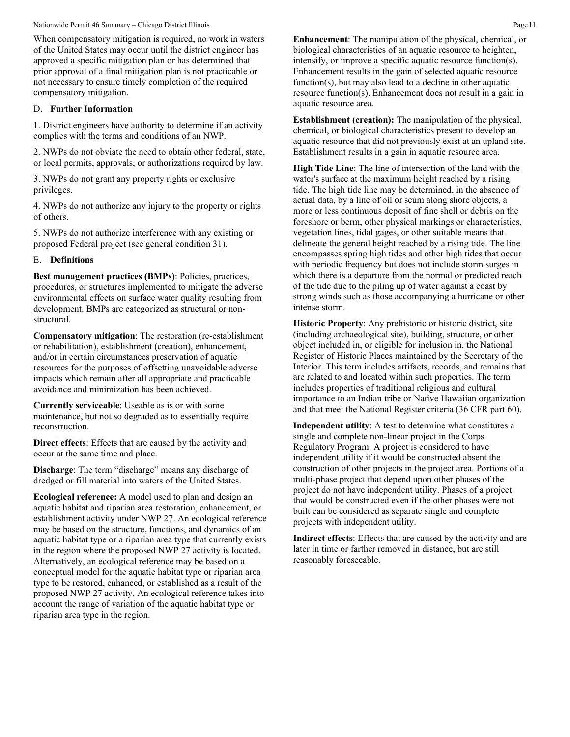Nationwide Permit 46 Summary – Chicago District Illinois Page 11

When compensatory mitigation is required, no work in waters of the United States may occur until the district engineer has approved a specific mitigation plan or has determined that prior approval of a final mitigation plan is not practicable or not necessary to ensure timely completion of the required compensatory mitigation.

### D. **Further Information**

1. District engineers have authority to determine if an activity complies with the terms and conditions of an NWP.

2. NWPs do not obviate the need to obtain other federal, state, or local permits, approvals, or authorizations required by law.

3. NWPs do not grant any property rights or exclusive privileges.

4. NWPs do not authorize any injury to the property or rights of others.

5. NWPs do not authorize interference with any existing or proposed Federal project (see general condition 31).

## E. **Definitions**

**Best management practices (BMPs)**: Policies, practices, procedures, or structures implemented to mitigate the adverse environmental effects on surface water quality resulting from development. BMPs are categorized as structural or nonstructural.

**Compensatory mitigation**: The restoration (re-establishment or rehabilitation), establishment (creation), enhancement, and/or in certain circumstances preservation of aquatic resources for the purposes of offsetting unavoidable adverse impacts which remain after all appropriate and practicable avoidance and minimization has been achieved.

**Currently serviceable**: Useable as is or with some maintenance, but not so degraded as to essentially require reconstruction.

**Direct effects**: Effects that are caused by the activity and occur at the same time and place.

**Discharge**: The term "discharge" means any discharge of dredged or fill material into waters of the United States.

**Ecological reference:** A model used to plan and design an aquatic habitat and riparian area restoration, enhancement, or establishment activity under NWP 27. An ecological reference may be based on the structure, functions, and dynamics of an aquatic habitat type or a riparian area type that currently exists in the region where the proposed NWP 27 activity is located. Alternatively, an ecological reference may be based on a conceptual model for the aquatic habitat type or riparian area type to be restored, enhanced, or established as a result of the proposed NWP 27 activity. An ecological reference takes into account the range of variation of the aquatic habitat type or riparian area type in the region.

**Enhancement**: The manipulation of the physical, chemical, or biological characteristics of an aquatic resource to heighten, intensify, or improve a specific aquatic resource function(s). Enhancement results in the gain of selected aquatic resource function(s), but may also lead to a decline in other aquatic resource function(s). Enhancement does not result in a gain in aquatic resource area.

**Establishment (creation):** The manipulation of the physical, chemical, or biological characteristics present to develop an aquatic resource that did not previously exist at an upland site. Establishment results in a gain in aquatic resource area.

**High Tide Line**: The line of intersection of the land with the water's surface at the maximum height reached by a rising tide. The high tide line may be determined, in the absence of actual data, by a line of oil or scum along shore objects, a more or less continuous deposit of fine shell or debris on the foreshore or berm, other physical markings or characteristics, vegetation lines, tidal gages, or other suitable means that delineate the general height reached by a rising tide. The line encompasses spring high tides and other high tides that occur with periodic frequency but does not include storm surges in which there is a departure from the normal or predicted reach of the tide due to the piling up of water against a coast by strong winds such as those accompanying a hurricane or other intense storm.

**Historic Property**: Any prehistoric or historic district, site (including archaeological site), building, structure, or other object included in, or eligible for inclusion in, the National Register of Historic Places maintained by the Secretary of the Interior. This term includes artifacts, records, and remains that are related to and located within such properties. The term includes properties of traditional religious and cultural importance to an Indian tribe or Native Hawaiian organization and that meet the National Register criteria (36 CFR part 60).

**Independent utility**: A test to determine what constitutes a single and complete non-linear project in the Corps Regulatory Program. A project is considered to have independent utility if it would be constructed absent the construction of other projects in the project area. Portions of a multi-phase project that depend upon other phases of the project do not have independent utility. Phases of a project that would be constructed even if the other phases were not built can be considered as separate single and complete projects with independent utility.

**Indirect effects**: Effects that are caused by the activity and are later in time or farther removed in distance, but are still reasonably foreseeable.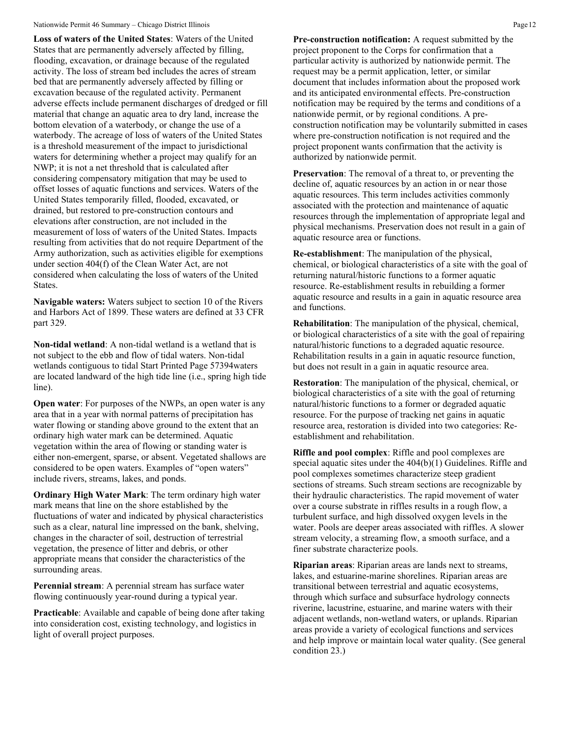#### Nationwide Permit 46 Summary – Chicago District Illinois **Page 12** Page 12

**Loss of waters of the United States**: Waters of the United States that are permanently adversely affected by filling, flooding, excavation, or drainage because of the regulated activity. The loss of stream bed includes the acres of stream bed that are permanently adversely affected by filling or excavation because of the regulated activity. Permanent adverse effects include permanent discharges of dredged or fill material that change an aquatic area to dry land, increase the bottom elevation of a waterbody, or change the use of a waterbody. The acreage of loss of waters of the United States is a threshold measurement of the impact to jurisdictional waters for determining whether a project may qualify for an NWP; it is not a net threshold that is calculated after considering compensatory mitigation that may be used to offset losses of aquatic functions and services. Waters of the United States temporarily filled, flooded, excavated, or drained, but restored to pre-construction contours and elevations after construction, are not included in the measurement of loss of waters of the United States. Impacts resulting from activities that do not require Department of the Army authorization, such as activities eligible for exemptions under section 404(f) of the Clean Water Act, are not considered when calculating the loss of waters of the United States.

**Navigable waters:** Waters subject to section 10 of the Rivers and Harbors Act of 1899. These waters are defined at 33 CFR part 329.

**Non-tidal wetland**: A non-tidal wetland is a wetland that is not subject to the ebb and flow of tidal waters. Non-tidal wetlands contiguous to tidal Start Printed Page 57394waters are located landward of the high tide line (i.e., spring high tide line).

**Open water**: For purposes of the NWPs, an open water is any area that in a year with normal patterns of precipitation has water flowing or standing above ground to the extent that an ordinary high water mark can be determined. Aquatic vegetation within the area of flowing or standing water is either non-emergent, sparse, or absent. Vegetated shallows are considered to be open waters. Examples of "open waters" include rivers, streams, lakes, and ponds.

**Ordinary High Water Mark**: The term ordinary high water mark means that line on the shore established by the fluctuations of water and indicated by physical characteristics such as a clear, natural line impressed on the bank, shelving, changes in the character of soil, destruction of terrestrial vegetation, the presence of litter and debris, or other appropriate means that consider the characteristics of the surrounding areas.

**Perennial stream**: A perennial stream has surface water flowing continuously year-round during a typical year.

**Practicable**: Available and capable of being done after taking into consideration cost, existing technology, and logistics in light of overall project purposes.

**Pre-construction notification:** A request submitted by the project proponent to the Corps for confirmation that a particular activity is authorized by nationwide permit. The request may be a permit application, letter, or similar document that includes information about the proposed work and its anticipated environmental effects. Pre-construction notification may be required by the terms and conditions of a nationwide permit, or by regional conditions. A preconstruction notification may be voluntarily submitted in cases where pre-construction notification is not required and the project proponent wants confirmation that the activity is authorized by nationwide permit.

**Preservation**: The removal of a threat to, or preventing the decline of, aquatic resources by an action in or near those aquatic resources. This term includes activities commonly associated with the protection and maintenance of aquatic resources through the implementation of appropriate legal and physical mechanisms. Preservation does not result in a gain of aquatic resource area or functions.

**Re-establishment**: The manipulation of the physical, chemical, or biological characteristics of a site with the goal of returning natural/historic functions to a former aquatic resource. Re-establishment results in rebuilding a former aquatic resource and results in a gain in aquatic resource area and functions.

**Rehabilitation**: The manipulation of the physical, chemical, or biological characteristics of a site with the goal of repairing natural/historic functions to a degraded aquatic resource. Rehabilitation results in a gain in aquatic resource function, but does not result in a gain in aquatic resource area.

**Restoration**: The manipulation of the physical, chemical, or biological characteristics of a site with the goal of returning natural/historic functions to a former or degraded aquatic resource. For the purpose of tracking net gains in aquatic resource area, restoration is divided into two categories: Reestablishment and rehabilitation.

**Riffle and pool complex**: Riffle and pool complexes are special aquatic sites under the 404(b)(1) Guidelines. Riffle and pool complexes sometimes characterize steep gradient sections of streams. Such stream sections are recognizable by their hydraulic characteristics. The rapid movement of water over a course substrate in riffles results in a rough flow, a turbulent surface, and high dissolved oxygen levels in the water. Pools are deeper areas associated with riffles. A slower stream velocity, a streaming flow, a smooth surface, and a finer substrate characterize pools.

**Riparian areas**: Riparian areas are lands next to streams, lakes, and estuarine-marine shorelines. Riparian areas are transitional between terrestrial and aquatic ecosystems, through which surface and subsurface hydrology connects riverine, lacustrine, estuarine, and marine waters with their adjacent wetlands, non-wetland waters, or uplands. Riparian areas provide a variety of ecological functions and services and help improve or maintain local water quality. (See general condition 23.)